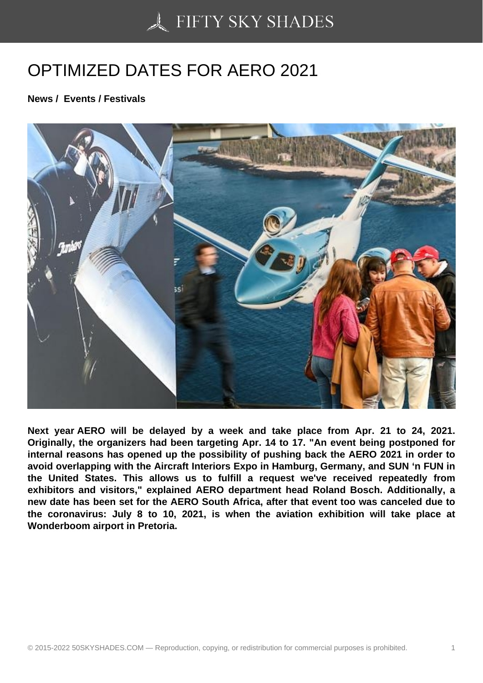## [OPTIMIZED DATES FO](https://50skyshades.com)R AERO 2021

News / Events / Festivals

Next year AERO will be delayed by a week and take place from Apr. 21 to 24, 2021. Originally, the organizers had been targeting Apr. 14 to 17. "An event being postponed for internal reasons has opened up the possibility of pushing back the AERO 2021 in order to avoid overlapping with the Aircraft Interiors Expo in Hamburg, Germany, and SUN 'n FUN in the United States. This allows us to fulfill a request we've received repeatedly from exhibitors and visitors," explained AERO department head Roland Bosch. Additionally, a new date has been set for the AERO South Africa, after that event too was canceled due to the coronavirus: July 8 to 10, 2021, is when the aviation exhibition will take place at Wonderboom airport in Pretoria.